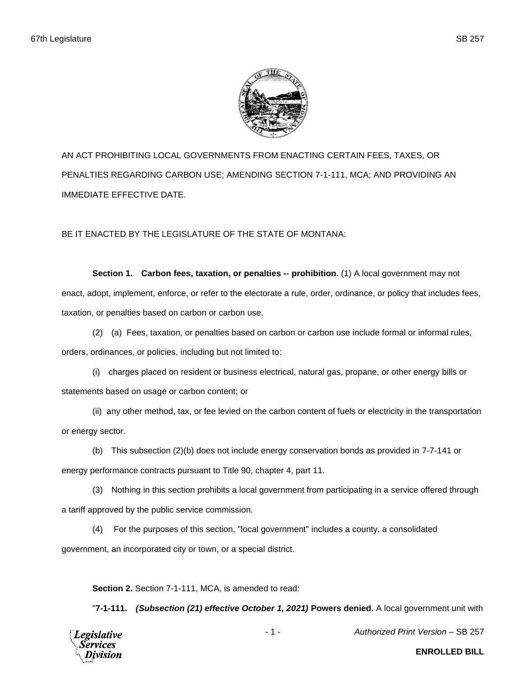

AN ACT PROHIBITING LOCAL GOVERNMENTS FROM ENACTING CERTAIN FEES, TAXES, OR PENALTIES REGARDING CARBON USE; AMENDING SECTION 7-1-111, MCA; AND PROVIDING AN IMMEDIATE EFFECTIVE DATE.

BE IT ENACTED BY THE LEGISLATURE OF THE STATE OF MONTANA:

**Section 1. Carbon fees, taxation, or penalties -- prohibition.** (1) A local government may not enact, adopt, implement, enforce, or refer to the electorate a rule, order, ordinance, or policy that includes fees, taxation, or penalties based on carbon or carbon use.

(2) (a) Fees, taxation, or penalties based on carbon or carbon use include formal or informal rules, orders, ordinances, or policies, including but not limited to:

(i) charges placed on resident or business electrical, natural gas, propane, or other energy bills or statements based on usage or carbon content; or

(ii) any other method, tax, or fee levied on the carbon content of fuels or electricity in the transportation or energy sector.

(b) This subsection (2)(b) does not include energy conservation bonds as provided in 7-7-141 or energy performance contracts pursuant to Title 90, chapter 4, part 11.

(3) Nothing in this section prohibits a local government from participating in a service offered through a tariff approved by the public service commission.

(4) For the purposes of this section, "local government" includes a county, a consolidated government, an incorporated city or town, or a special district.

**Section 2.** Section 7-1-111, MCA, is amended to read:

"**7-1-111.** *(Subsection (21) effective October 1, 2021)* **Powers denied.** A local government unit with



- 1 - *Authorized Print Version* – SB 257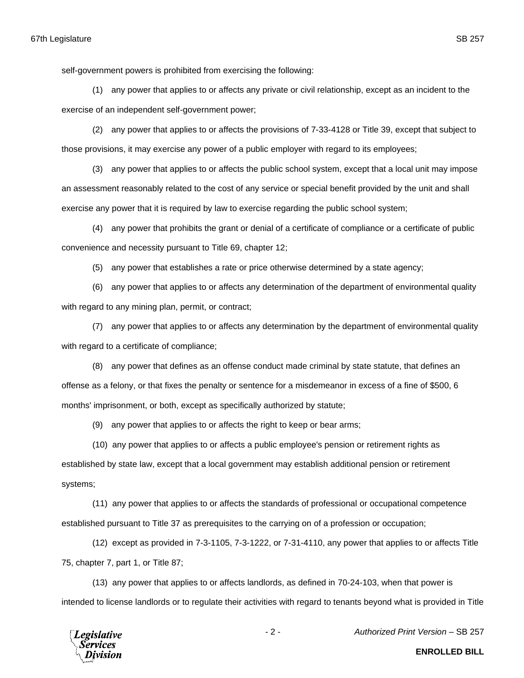self-government powers is prohibited from exercising the following:

(1) any power that applies to or affects any private or civil relationship, except as an incident to the exercise of an independent self-government power;

(2) any power that applies to or affects the provisions of 7-33-4128 or Title 39, except that subject to those provisions, it may exercise any power of a public employer with regard to its employees;

(3) any power that applies to or affects the public school system, except that a local unit may impose an assessment reasonably related to the cost of any service or special benefit provided by the unit and shall exercise any power that it is required by law to exercise regarding the public school system;

(4) any power that prohibits the grant or denial of a certificate of compliance or a certificate of public convenience and necessity pursuant to Title 69, chapter 12;

(5) any power that establishes a rate or price otherwise determined by a state agency;

(6) any power that applies to or affects any determination of the department of environmental quality with regard to any mining plan, permit, or contract;

(7) any power that applies to or affects any determination by the department of environmental quality with regard to a certificate of compliance;

(8) any power that defines as an offense conduct made criminal by state statute, that defines an offense as a felony, or that fixes the penalty or sentence for a misdemeanor in excess of a fine of \$500, 6 months' imprisonment, or both, except as specifically authorized by statute;

(9) any power that applies to or affects the right to keep or bear arms;

(10) any power that applies to or affects a public employee's pension or retirement rights as established by state law, except that a local government may establish additional pension or retirement systems;

(11) any power that applies to or affects the standards of professional or occupational competence established pursuant to Title 37 as prerequisites to the carrying on of a profession or occupation;

(12) except as provided in 7-3-1105, 7-3-1222, or 7-31-4110, any power that applies to or affects Title 75, chapter 7, part 1, or Title 87;

(13) any power that applies to or affects landlords, as defined in 70-24-103, when that power is intended to license landlords or to regulate their activities with regard to tenants beyond what is provided in Title



- 2 - *Authorized Print Version* – SB 257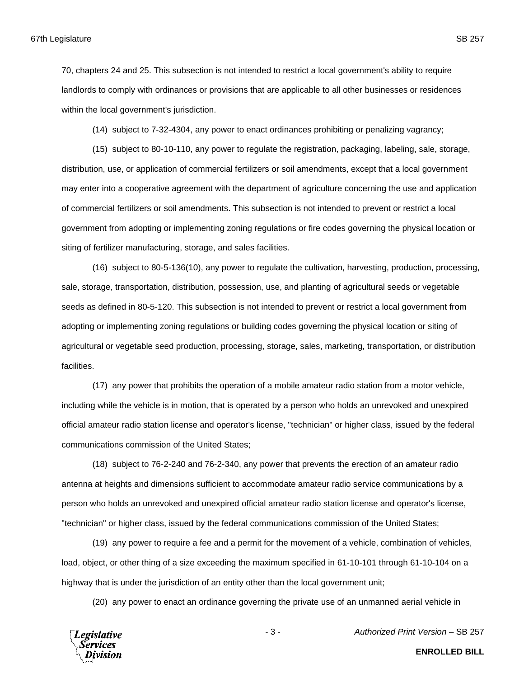67th Legislature SB 257

70, chapters 24 and 25. This subsection is not intended to restrict a local government's ability to require landlords to comply with ordinances or provisions that are applicable to all other businesses or residences within the local government's jurisdiction.

(14) subject to 7-32-4304, any power to enact ordinances prohibiting or penalizing vagrancy;

(15) subject to 80-10-110, any power to regulate the registration, packaging, labeling, sale, storage, distribution, use, or application of commercial fertilizers or soil amendments, except that a local government may enter into a cooperative agreement with the department of agriculture concerning the use and application of commercial fertilizers or soil amendments. This subsection is not intended to prevent or restrict a local government from adopting or implementing zoning regulations or fire codes governing the physical location or siting of fertilizer manufacturing, storage, and sales facilities.

(16) subject to 80-5-136(10), any power to regulate the cultivation, harvesting, production, processing, sale, storage, transportation, distribution, possession, use, and planting of agricultural seeds or vegetable seeds as defined in 80-5-120. This subsection is not intended to prevent or restrict a local government from adopting or implementing zoning regulations or building codes governing the physical location or siting of agricultural or vegetable seed production, processing, storage, sales, marketing, transportation, or distribution facilities.

(17) any power that prohibits the operation of a mobile amateur radio station from a motor vehicle, including while the vehicle is in motion, that is operated by a person who holds an unrevoked and unexpired official amateur radio station license and operator's license, "technician" or higher class, issued by the federal communications commission of the United States;

(18) subject to 76-2-240 and 76-2-340, any power that prevents the erection of an amateur radio antenna at heights and dimensions sufficient to accommodate amateur radio service communications by a person who holds an unrevoked and unexpired official amateur radio station license and operator's license, "technician" or higher class, issued by the federal communications commission of the United States;

(19) any power to require a fee and a permit for the movement of a vehicle, combination of vehicles, load, object, or other thing of a size exceeding the maximum specified in 61-10-101 through 61-10-104 on a highway that is under the jurisdiction of an entity other than the local government unit;

(20) any power to enact an ordinance governing the private use of an unmanned aerial vehicle in

**Legislative** Services

- 3 - *Authorized Print Version* – SB 257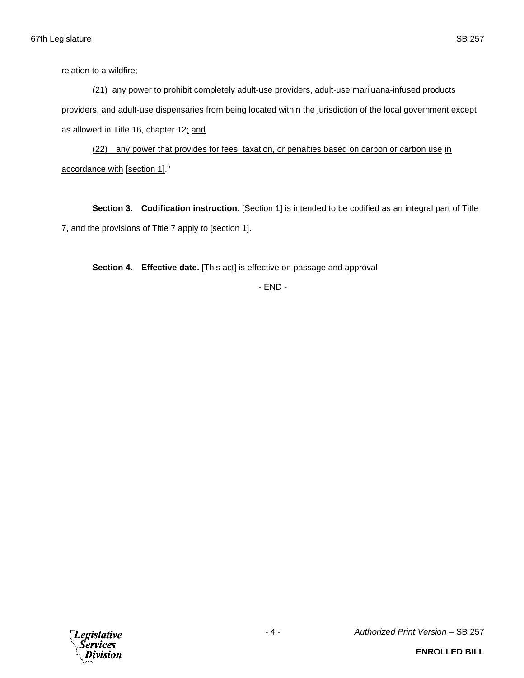relation to a wildfire;

(21) any power to prohibit completely adult-use providers, adult-use marijuana-infused products providers, and adult-use dispensaries from being located within the jurisdiction of the local government except as allowed in Title 16, chapter 12; and

(22) any power that provides for fees, taxation, or penalties based on carbon or carbon use in accordance with [section 1]."

**Section 3. Codification instruction.** [Section 1] is intended to be codified as an integral part of Title 7, and the provisions of Title 7 apply to [section 1].

**Section 4. Effective date.** [This act] is effective on passage and approval.

- END -

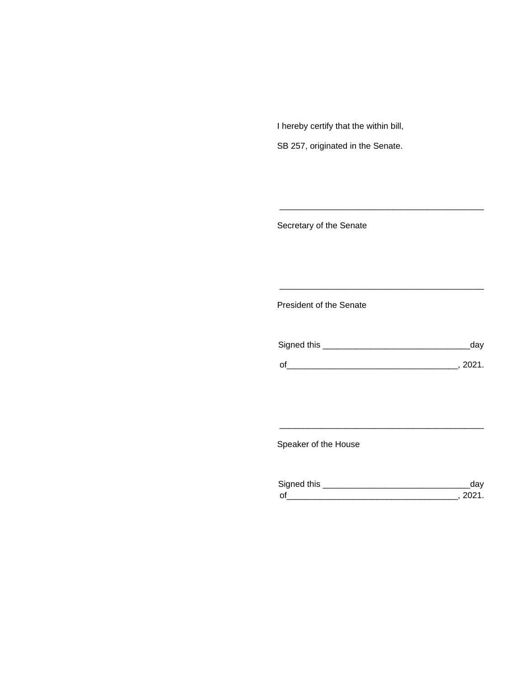I hereby certify that the within bill,

SB 257, originated in the Senate.

Secretary of the Senate

President of the Senate

| Signed this | uav    |
|-------------|--------|
|             | 111'11 |
| $\Omega$    |        |

\_\_\_\_\_\_\_\_\_\_\_\_\_\_\_\_\_\_\_\_\_\_\_\_\_\_\_\_\_\_\_\_\_\_\_\_\_\_\_\_\_\_\_

\_\_\_\_\_\_\_\_\_\_\_\_\_\_\_\_\_\_\_\_\_\_\_\_\_\_\_\_\_\_\_\_\_\_\_\_\_\_\_\_\_\_\_

Speaker of the House

| Signed this |  |
|-------------|--|
| $\Omega$    |  |

\_\_\_\_\_\_\_\_\_\_\_\_\_\_\_\_\_\_\_\_\_\_\_\_\_\_\_\_\_\_\_\_\_\_\_\_\_\_\_\_\_\_\_